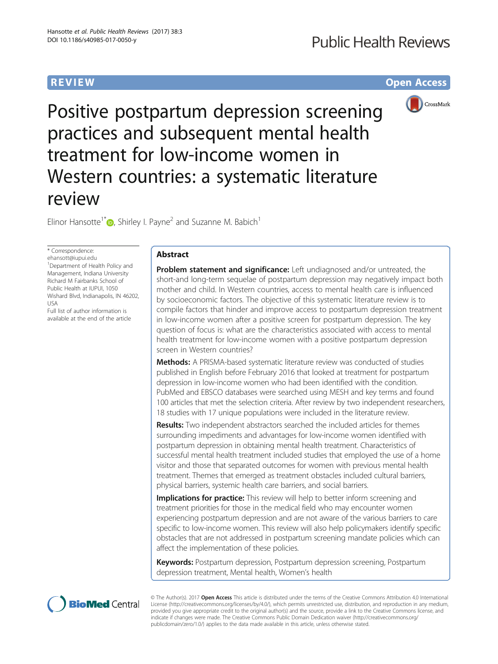# **REVIEW CONTROL** CONTROL CONTROL CONTROL CONTROL CONTROL CONTROL CONTROL CONTROL CONTROL CONTROL CONTROL CONTROL CONTROL CONTROL CONTROL CONTROL CONTROL CONTROL CONTROL CONTROL CONTROL CONTROL CONTROL CONTROL CONTROL CONTR



Positive postpartum depression screening practices and subsequent mental health treatment for low-income women in Western countries: a systematic literature review

Elinor Hansotte<sup>1[\\*](http://orcid.org/0000-0002-5901-1068)</sup> **D**, Shirley I. Payne<sup>2</sup> and Suzanne M. Babich<sup>1</sup>

\* Correspondence:

[ehansott@iupui.edu](mailto:ehansott@iupui.edu) <sup>1</sup> Department of Health Policy and Management, Indiana University Richard M Fairbanks School of Public Health at IUPUI, 1050 Wishard Blvd, Indianapolis, IN 46202, USA

Full list of author information is available at the end of the article

## Abstract

**Problem statement and significance:** Left undiagnosed and/or untreated, the short-and long-term sequelae of postpartum depression may negatively impact both mother and child. In Western countries, access to mental health care is influenced by socioeconomic factors. The objective of this systematic literature review is to compile factors that hinder and improve access to postpartum depression treatment in low-income women after a positive screen for postpartum depression. The key question of focus is: what are the characteristics associated with access to mental health treatment for low-income women with a positive postpartum depression screen in Western countries?

Methods: A PRISMA-based systematic literature review was conducted of studies published in English before February 2016 that looked at treatment for postpartum depression in low-income women who had been identified with the condition. PubMed and EBSCO databases were searched using MESH and key terms and found 100 articles that met the selection criteria. After review by two independent researchers, 18 studies with 17 unique populations were included in the literature review.

**Results:** Two independent abstractors searched the included articles for themes surrounding impediments and advantages for low-income women identified with postpartum depression in obtaining mental health treatment. Characteristics of successful mental health treatment included studies that employed the use of a home visitor and those that separated outcomes for women with previous mental health treatment. Themes that emerged as treatment obstacles included cultural barriers, physical barriers, systemic health care barriers, and social barriers.

Implications for practice: This review will help to better inform screening and treatment priorities for those in the medical field who may encounter women experiencing postpartum depression and are not aware of the various barriers to care specific to low-income women. This review will also help policymakers identify specific obstacles that are not addressed in postpartum screening mandate policies which can affect the implementation of these policies.

Keywords: Postpartum depression, Postpartum depression screening, Postpartum depression treatment, Mental health, Women's health



© The Author(s). 2017 Open Access This article is distributed under the terms of the Creative Commons Attribution 4.0 International License ([http://creativecommons.org/licenses/by/4.0/\)](http://creativecommons.org/licenses/by/4.0/), which permits unrestricted use, distribution, and reproduction in any medium, provided you give appropriate credit to the original author(s) and the source, provide a link to the Creative Commons license, and indicate if changes were made. The Creative Commons Public Domain Dedication waiver ([http://creativecommons.org/](http://creativecommons.org/publicdomain/zero/1.0/) [publicdomain/zero/1.0/\)](http://creativecommons.org/publicdomain/zero/1.0/) applies to the data made available in this article, unless otherwise stated.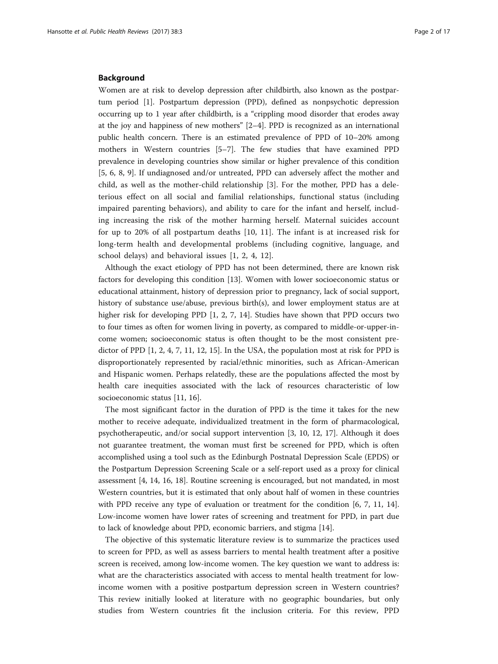### Background

Women are at risk to develop depression after childbirth, also known as the postpartum period [[1\]](#page-15-0). Postpartum depression (PPD), defined as nonpsychotic depression occurring up to 1 year after childbirth, is a "crippling mood disorder that erodes away at the joy and happiness of new mothers" [\[2](#page-15-0)–[4\]](#page-15-0). PPD is recognized as an international public health concern. There is an estimated prevalence of PPD of 10–20% among mothers in Western countries [[5](#page-15-0)–[7\]](#page-15-0). The few studies that have examined PPD prevalence in developing countries show similar or higher prevalence of this condition [[5, 6](#page-15-0), [8, 9](#page-15-0)]. If undiagnosed and/or untreated, PPD can adversely affect the mother and child, as well as the mother-child relationship [\[3](#page-15-0)]. For the mother, PPD has a deleterious effect on all social and familial relationships, functional status (including impaired parenting behaviors), and ability to care for the infant and herself, including increasing the risk of the mother harming herself. Maternal suicides account for up to 20% of all postpartum deaths [\[10](#page-15-0), [11\]](#page-15-0). The infant is at increased risk for long-term health and developmental problems (including cognitive, language, and school delays) and behavioral issues [\[1](#page-15-0), [2](#page-15-0), [4](#page-15-0), [12\]](#page-15-0).

Although the exact etiology of PPD has not been determined, there are known risk factors for developing this condition [\[13\]](#page-15-0). Women with lower socioeconomic status or educational attainment, history of depression prior to pregnancy, lack of social support, history of substance use/abuse, previous birth(s), and lower employment status are at higher risk for developing PPD [\[1, 2, 7](#page-15-0), [14](#page-15-0)]. Studies have shown that PPD occurs two to four times as often for women living in poverty, as compared to middle-or-upper-income women; socioeconomic status is often thought to be the most consistent predictor of PPD  $[1, 2, 4, 7, 11, 12, 15]$  $[1, 2, 4, 7, 11, 12, 15]$  $[1, 2, 4, 7, 11, 12, 15]$  $[1, 2, 4, 7, 11, 12, 15]$  $[1, 2, 4, 7, 11, 12, 15]$  $[1, 2, 4, 7, 11, 12, 15]$  $[1, 2, 4, 7, 11, 12, 15]$  $[1, 2, 4, 7, 11, 12, 15]$  $[1, 2, 4, 7, 11, 12, 15]$  $[1, 2, 4, 7, 11, 12, 15]$  $[1, 2, 4, 7, 11, 12, 15]$  $[1, 2, 4, 7, 11, 12, 15]$  $[1, 2, 4, 7, 11, 12, 15]$  $[1, 2, 4, 7, 11, 12, 15]$ . In the USA, the population most at risk for PPD is disproportionately represented by racial/ethnic minorities, such as African-American and Hispanic women. Perhaps relatedly, these are the populations affected the most by health care inequities associated with the lack of resources characteristic of low socioeconomic status [[11, 16\]](#page-15-0).

The most significant factor in the duration of PPD is the time it takes for the new mother to receive adequate, individualized treatment in the form of pharmacological, psychotherapeutic, and/or social support intervention [\[3](#page-15-0), [10, 12](#page-15-0), [17\]](#page-15-0). Although it does not guarantee treatment, the woman must first be screened for PPD, which is often accomplished using a tool such as the Edinburgh Postnatal Depression Scale (EPDS) or the Postpartum Depression Screening Scale or a self-report used as a proxy for clinical assessment [\[4](#page-15-0), [14](#page-15-0), [16](#page-15-0), [18](#page-15-0)]. Routine screening is encouraged, but not mandated, in most Western countries, but it is estimated that only about half of women in these countries with PPD receive any type of evaluation or treatment for the condition [[6, 7, 11](#page-15-0), [14](#page-15-0)]. Low-income women have lower rates of screening and treatment for PPD, in part due to lack of knowledge about PPD, economic barriers, and stigma [[14\]](#page-15-0).

The objective of this systematic literature review is to summarize the practices used to screen for PPD, as well as assess barriers to mental health treatment after a positive screen is received, among low-income women. The key question we want to address is: what are the characteristics associated with access to mental health treatment for lowincome women with a positive postpartum depression screen in Western countries? This review initially looked at literature with no geographic boundaries, but only studies from Western countries fit the inclusion criteria. For this review, PPD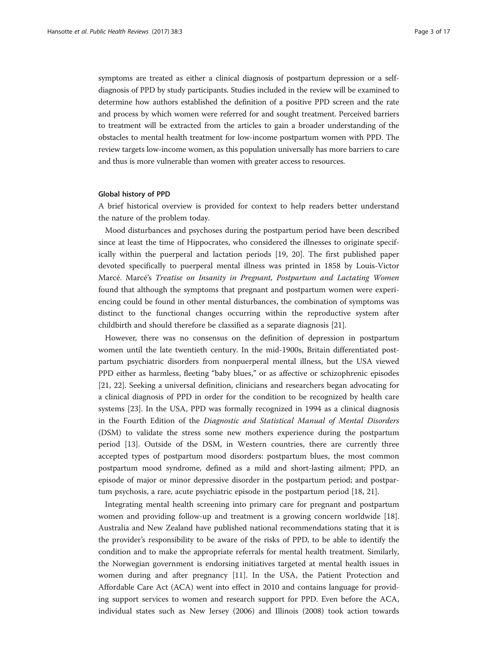symptoms are treated as either a clinical diagnosis of postpartum depression or a selfdiagnosis of PPD by study participants. Studies included in the review will be examined to determine how authors established the definition of a positive PPD screen and the rate and process by which women were referred for and sought treatment. Perceived barriers to treatment will be extracted from the articles to gain a broader understanding of the obstacles to mental health treatment for low-income postpartum women with PPD. The review targets low-income women, as this population universally has more barriers to care and thus is more vulnerable than women with greater access to resources.

## Global history of PPD

A brief historical overview is provided for context to help readers better understand the nature of the problem today.

Mood disturbances and psychoses during the postpartum period have been described since at least the time of Hippocrates, who considered the illnesses to originate specifically within the puerperal and lactation periods [\[19](#page-15-0), [20\]](#page-15-0). The first published paper devoted specifically to puerperal mental illness was printed in 1858 by Louis-Victor Marcé. Marcé's Treatise on Insanity in Pregnant, Postpartum and Lactating Women found that although the symptoms that pregnant and postpartum women were experiencing could be found in other mental disturbances, the combination of symptoms was distinct to the functional changes occurring within the reproductive system after childbirth and should therefore be classified as a separate diagnosis [\[21](#page-15-0)].

However, there was no consensus on the definition of depression in postpartum women until the late twentieth century. In the mid-1900s, Britain differentiated postpartum psychiatric disorders from nonpuerperal mental illness, but the USA viewed PPD either as harmless, fleeting "baby blues," or as affective or schizophrenic episodes [[21, 22\]](#page-15-0). Seeking a universal definition, clinicians and researchers began advocating for a clinical diagnosis of PPD in order for the condition to be recognized by health care systems [[23\]](#page-15-0). In the USA, PPD was formally recognized in 1994 as a clinical diagnosis in the Fourth Edition of the Diagnostic and Statistical Manual of Mental Disorders (DSM) to validate the stress some new mothers experience during the postpartum period [\[13](#page-15-0)]. Outside of the DSM, in Western countries, there are currently three accepted types of postpartum mood disorders: postpartum blues, the most common postpartum mood syndrome, defined as a mild and short-lasting ailment; PPD, an episode of major or minor depressive disorder in the postpartum period; and postpartum psychosis, a rare, acute psychiatric episode in the postpartum period [[18, 21](#page-15-0)].

Integrating mental health screening into primary care for pregnant and postpartum women and providing follow-up and treatment is a growing concern worldwide [[18](#page-15-0)]. Australia and New Zealand have published national recommendations stating that it is the provider's responsibility to be aware of the risks of PPD, to be able to identify the condition and to make the appropriate referrals for mental health treatment. Similarly, the Norwegian government is endorsing initiatives targeted at mental health issues in women during and after pregnancy [\[11\]](#page-15-0). In the USA, the Patient Protection and Affordable Care Act (ACA) went into effect in 2010 and contains language for providing support services to women and research support for PPD. Even before the ACA, individual states such as New Jersey (2006) and Illinois (2008) took action towards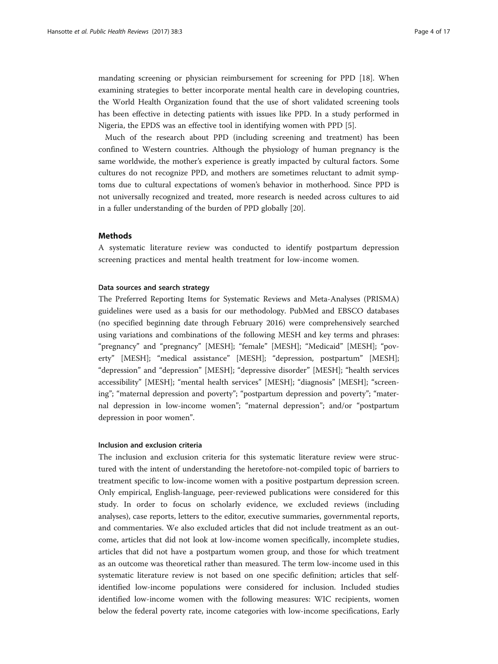mandating screening or physician reimbursement for screening for PPD [[18\]](#page-15-0). When examining strategies to better incorporate mental health care in developing countries, the World Health Organization found that the use of short validated screening tools has been effective in detecting patients with issues like PPD. In a study performed in Nigeria, the EPDS was an effective tool in identifying women with PPD [\[5](#page-15-0)].

Much of the research about PPD (including screening and treatment) has been confined to Western countries. Although the physiology of human pregnancy is the same worldwide, the mother's experience is greatly impacted by cultural factors. Some cultures do not recognize PPD, and mothers are sometimes reluctant to admit symptoms due to cultural expectations of women's behavior in motherhood. Since PPD is not universally recognized and treated, more research is needed across cultures to aid in a fuller understanding of the burden of PPD globally [\[20](#page-15-0)].

## Methods

A systematic literature review was conducted to identify postpartum depression screening practices and mental health treatment for low-income women.

## Data sources and search strategy

The Preferred Reporting Items for Systematic Reviews and Meta-Analyses (PRISMA) guidelines were used as a basis for our methodology. PubMed and EBSCO databases (no specified beginning date through February 2016) were comprehensively searched using variations and combinations of the following MESH and key terms and phrases: "pregnancy" and "pregnancy" [MESH]; "female" [MESH]; "Medicaid" [MESH]; "poverty" [MESH]; "medical assistance" [MESH]; "depression, postpartum" [MESH]; "depression" and "depression" [MESH]; "depressive disorder" [MESH]; "health services accessibility" [MESH]; "mental health services" [MESH]; "diagnosis" [MESH]; "screening"; "maternal depression and poverty"; "postpartum depression and poverty"; "maternal depression in low-income women"; "maternal depression"; and/or "postpartum depression in poor women".

## Inclusion and exclusion criteria

The inclusion and exclusion criteria for this systematic literature review were structured with the intent of understanding the heretofore-not-compiled topic of barriers to treatment specific to low-income women with a positive postpartum depression screen. Only empirical, English-language, peer-reviewed publications were considered for this study. In order to focus on scholarly evidence, we excluded reviews (including analyses), case reports, letters to the editor, executive summaries, governmental reports, and commentaries. We also excluded articles that did not include treatment as an outcome, articles that did not look at low-income women specifically, incomplete studies, articles that did not have a postpartum women group, and those for which treatment as an outcome was theoretical rather than measured. The term low-income used in this systematic literature review is not based on one specific definition; articles that selfidentified low-income populations were considered for inclusion. Included studies identified low-income women with the following measures: WIC recipients, women below the federal poverty rate, income categories with low-income specifications, Early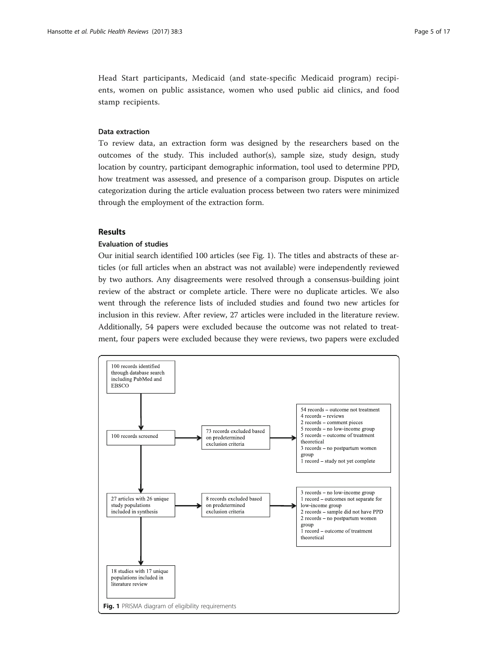Head Start participants, Medicaid (and state-specific Medicaid program) recipients, women on public assistance, women who used public aid clinics, and food stamp recipients.

## Data extraction

To review data, an extraction form was designed by the researchers based on the outcomes of the study. This included author(s), sample size, study design, study location by country, participant demographic information, tool used to determine PPD, how treatment was assessed, and presence of a comparison group. Disputes on article categorization during the article evaluation process between two raters were minimized through the employment of the extraction form.

## Results

## Evaluation of studies

Our initial search identified 100 articles (see Fig. 1). The titles and abstracts of these articles (or full articles when an abstract was not available) were independently reviewed by two authors. Any disagreements were resolved through a consensus-building joint review of the abstract or complete article. There were no duplicate articles. We also went through the reference lists of included studies and found two new articles for inclusion in this review. After review, 27 articles were included in the literature review. Additionally, 54 papers were excluded because the outcome was not related to treatment, four papers were excluded because they were reviews, two papers were excluded

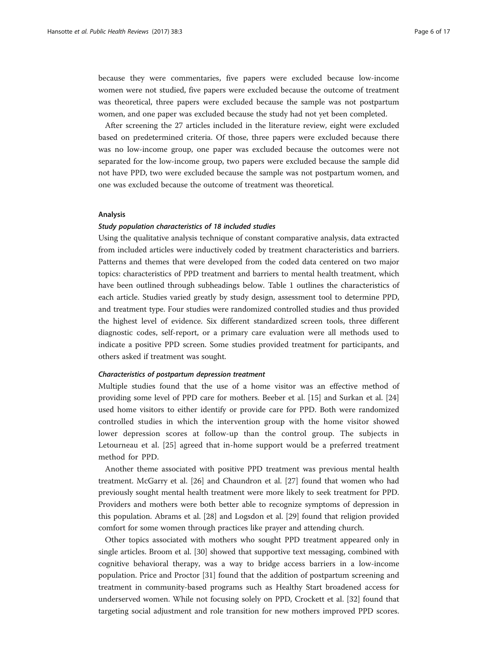because they were commentaries, five papers were excluded because low-income women were not studied, five papers were excluded because the outcome of treatment was theoretical, three papers were excluded because the sample was not postpartum women, and one paper was excluded because the study had not yet been completed.

After screening the 27 articles included in the literature review, eight were excluded based on predetermined criteria. Of those, three papers were excluded because there was no low-income group, one paper was excluded because the outcomes were not separated for the low-income group, two papers were excluded because the sample did not have PPD, two were excluded because the sample was not postpartum women, and one was excluded because the outcome of treatment was theoretical.

### Analysis

## Study population characteristics of 18 included studies

Using the qualitative analysis technique of constant comparative analysis, data extracted from included articles were inductively coded by treatment characteristics and barriers. Patterns and themes that were developed from the coded data centered on two major topics: characteristics of PPD treatment and barriers to mental health treatment, which have been outlined through subheadings below. Table [1](#page-6-0) outlines the characteristics of each article. Studies varied greatly by study design, assessment tool to determine PPD, and treatment type. Four studies were randomized controlled studies and thus provided the highest level of evidence. Six different standardized screen tools, three different diagnostic codes, self-report, or a primary care evaluation were all methods used to indicate a positive PPD screen. Some studies provided treatment for participants, and others asked if treatment was sought.

## Characteristics of postpartum depression treatment

Multiple studies found that the use of a home visitor was an effective method of providing some level of PPD care for mothers. Beeber et al. [\[15](#page-15-0)] and Surkan et al. [[24](#page-15-0)] used home visitors to either identify or provide care for PPD. Both were randomized controlled studies in which the intervention group with the home visitor showed lower depression scores at follow-up than the control group. The subjects in Letourneau et al. [[25\]](#page-15-0) agreed that in-home support would be a preferred treatment method for PPD.

Another theme associated with positive PPD treatment was previous mental health treatment. McGarry et al. [\[26](#page-15-0)] and Chaundron et al. [\[27\]](#page-15-0) found that women who had previously sought mental health treatment were more likely to seek treatment for PPD. Providers and mothers were both better able to recognize symptoms of depression in this population. Abrams et al. [[28](#page-15-0)] and Logsdon et al. [\[29\]](#page-15-0) found that religion provided comfort for some women through practices like prayer and attending church.

Other topics associated with mothers who sought PPD treatment appeared only in single articles. Broom et al. [\[30](#page-15-0)] showed that supportive text messaging, combined with cognitive behavioral therapy, was a way to bridge access barriers in a low-income population. Price and Proctor [\[31](#page-15-0)] found that the addition of postpartum screening and treatment in community-based programs such as Healthy Start broadened access for underserved women. While not focusing solely on PPD, Crockett et al. [[32\]](#page-15-0) found that targeting social adjustment and role transition for new mothers improved PPD scores.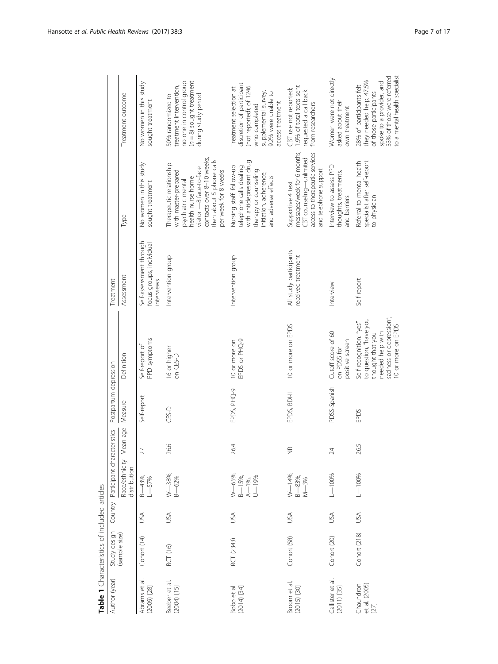<span id="page-6-0"></span>

| Author (year)                      | Table 1 Characteristics of included articles<br>Study design<br>(sample size) |     | Country Participant characteristics                     | Postpartum depression |                                                                                                                                            | Treatment                                                        |                                                                                                                                                                                                         |                                                                                                                                                                         |
|------------------------------------|-------------------------------------------------------------------------------|-----|---------------------------------------------------------|-----------------------|--------------------------------------------------------------------------------------------------------------------------------------------|------------------------------------------------------------------|---------------------------------------------------------------------------------------------------------------------------------------------------------------------------------------------------------|-------------------------------------------------------------------------------------------------------------------------------------------------------------------------|
|                                    |                                                                               |     | Race/ethnicity M<br>distribution                        | Measure<br>ean age    | Definition                                                                                                                                 | Assessment                                                       | Type                                                                                                                                                                                                    | Treatment outcome                                                                                                                                                       |
| Abrams et al.<br>(2009) [28]       | Cohort (14)                                                                   | JSA | N<br>$B - 43%$<br>$1 - 57%$                             | Self-report           | PPD symptoms<br>Self-report of                                                                                                             | Self-assessment through<br>focus groups, individual<br>nterviews | No women in this study<br>sought treatment                                                                                                                                                              | No women in this study<br>sought treatment                                                                                                                              |
| Beeber et al.<br>(2004) [15]       | RCT (16)                                                                      | USA | 26.6<br>W-38%,<br>$B - 62%$                             | CES-D                 | 16 or higher<br>on CES-D                                                                                                                   | Intervention group                                               | contacts over 8-10 weeks,<br>then about 5 phone calls<br>Therapeutic relationship<br>visitor -8 face-to-face<br>per week for 8 weeks<br>with master-prepared<br>health nurse home<br>psychiatric mental | $(n = 8)$ sought treatment<br>no one in control group<br>treatment intervention,<br>50% randomized to<br>during study period                                            |
| Bobo et al.<br>[2014] [34]         | RCT (2343)                                                                    | JSA | 26.4<br>W-65%,<br>$B - 15%$<br>$U - 19%$<br>$A-1\%$ ,   | EPDS, PHQ-9           | EPDS or PHQ-9<br>10 or more on                                                                                                             | Intervention group                                               | with antidepressant drug<br>Nursing staff: follow-up<br>telephone calls dealing<br>therapy or counseling<br>initiation, adherence,<br>and adverse effects                                               | discretion of participant<br>(not reported); of 1246<br>Treatment selection at<br>supplemental survey,<br>9.2% were unable to<br>access treatment<br>who completed      |
| Broom et al.<br>(2015) [30]        | Cohort (58)                                                                   | JSA | $\widetilde{\Xi}$<br>$W - 14%$<br>$B - 83%$<br>$M - 3%$ | EPDS, BDI-II          | 10 or more on EPDS                                                                                                                         | All study participants<br>received treatment                     | messages/week for 6 months;<br>access to therapeutic services<br>CBT counseling-unlimited<br>and telephone support<br>Supportive 4 text                                                                 | 1.9% of total texts sent<br>CBT use not reported;<br>requested a call back<br>from researchers                                                                          |
| Callister et al.<br>$(2011)$ [35]  | Cohort (20)                                                                   | USA | $\approx$<br>$1 - 100%$                                 | PDSS-Spanish          | Cutoff score of 60<br>positive screen<br>on PDSS for                                                                                       | Interview                                                        | Interview to assess PPD<br>thoughts, treatments,<br>and barriers                                                                                                                                        | Women were not directly<br>asked about their<br>own treatment                                                                                                           |
| et al. (2005)<br>[27]<br>Chaundron | Cohort (218)                                                                  | USA | 26.5<br>$L - 100%$                                      | EPDS                  | sadness or depression";<br>to question, "have you<br>Self-recognition: "yes"<br>10 or more on EPDS<br>needed help with<br>thought that you | Self-report                                                      | Referral to mental health<br>specialist after self-report<br>to physician                                                                                                                               | to a mental health specialist<br>33% of those were referred<br>they needed help, 47.5%<br>spoke to a provider, and<br>28% of participants felt<br>of those participants |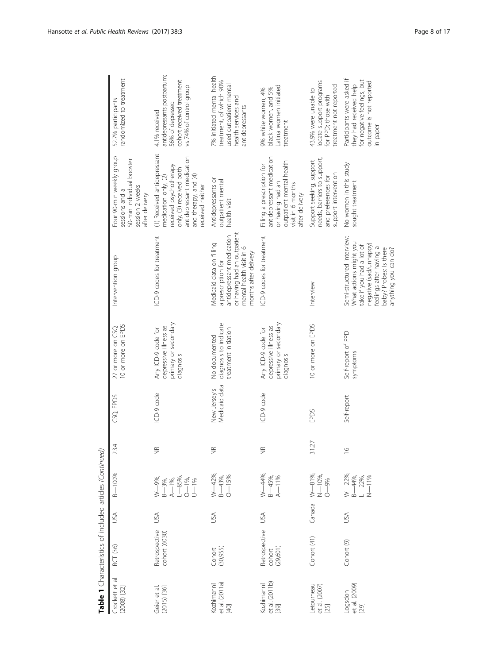|                                       | Table 1 Characteristics of included articles (Continued) |        |                                                      |                    |                               |                                                                                  |                                                                                                                                                                                         |                                                                                                                                                                                   |                                                                                                                           |
|---------------------------------------|----------------------------------------------------------|--------|------------------------------------------------------|--------------------|-------------------------------|----------------------------------------------------------------------------------|-----------------------------------------------------------------------------------------------------------------------------------------------------------------------------------------|-----------------------------------------------------------------------------------------------------------------------------------------------------------------------------------|---------------------------------------------------------------------------------------------------------------------------|
| Crockett et al.<br>(2008) [32]        | RCT (36)                                                 | USA    | $B - 100%$                                           | 4<br>23.           | CSQ <sub>EPDS</sub>           | 10 or more on EPDS<br>27 or more on CSQ                                          | Intervention group                                                                                                                                                                      | Four 90-min weekly group<br>50-min individual booster<br>session 2 weeks<br>sessions and a<br>after delivery                                                                      | randomized to treatment<br>52.7% participants                                                                             |
| Geier et al.<br>$(2015)$ [36]         | Retrospective<br>cohort (6030)                           | USA    | $W=9\%$<br>$B=3\%$<br>$A=1\%$<br>$B=85\%$<br>$D=1\%$ | $\frac{\alpha}{2}$ | ICD-9 code                    | primary or secondary<br>depressive illness as<br>Any ICD-9 code for<br>diagnosis | ICD-9 codes for treatment                                                                                                                                                               | (1) Received antidepressant<br>antidepressant medication<br>received psychotherapy<br>only, (3) received both<br>and therapy, and (4)<br>medication only, (2)<br>received neither | antidepressants postpartum;<br>cohort received treatment<br>vs 74% of control group<br>56% of depressed<br>4.1% received  |
| et al. (2011a)<br>[40]<br>Kozhimannil | Cohort<br>(30,955)                                       | USA    | $W - 42\%$<br>B-43%<br>O-15%                         | $\frac{\alpha}{2}$ | Medicaid data<br>New Jersey's | diagnosis to indicate<br>treatment initiation<br>No documented                   | or having had an outpatient<br>antidepressant medication<br>Medicaid data on filling<br>mental health visit in 6<br>months after delivery<br>a prescription for                         | Antidepressants or<br>outpatient mental<br>health visit                                                                                                                           | 7% initiated mental health<br>treatment, of which 90%<br>used outpatient mental<br>health services and<br>antidepressants |
| Kozhimannil<br>et al. (2011b)<br>[39] | Retrospective<br>(29,601)<br>cohort                      | USA    | W-44%,<br>$B - 45\%$ ,<br>A-11%                      | $\frac{\alpha}{2}$ | ICD-9 code                    | primary or secondary<br>depressive illness as<br>Any ICD-9 code for<br>diagnosis | ICD-9 codes for treatment                                                                                                                                                               | antidepressant medication<br>outpatient mental health<br>Filling a prescription for<br>or having had an<br>visit in 6 months<br>after delivery                                    | Latina women initiated<br>black women, and 5%<br>9% white women, 4%<br>treatment                                          |
| etourneau<br>et al. (2007)<br>[25]    | Cohort (41)                                              | Canada | $W - 81\%$<br>N-10%,<br>O-9%                         | 31.27              | EPDS                          | 10 or more on EPDS                                                               | Interview                                                                                                                                                                               | needs, barriers to support,<br>Support seeking, support<br>support intervention<br>and preferences for                                                                            | locate support programs<br>treatment not reported<br>43.9% were unable to<br>for PPD; those with                          |
| Logsdon<br>et al. (2009)<br>[29]      | Cohort (9)                                               | JSA    | $W-22\%$ ,<br>B-44%,<br>L-22%,<br>N-11%              | $\frac{0}{1}$      | Self-report                   | Self-report of PPD<br>symptoms                                                   | Semi-structured interview:<br>What actions might you<br>negative (sad/unhappy)<br>take if you had a lot of<br>feelings after having a<br>baby? Probes: Is there<br>anything you can do? | No women in this study<br>sought treatment                                                                                                                                        | Participants were asked if<br>for negative feelings, but<br>outcome is not reported<br>they had received help<br>in paper |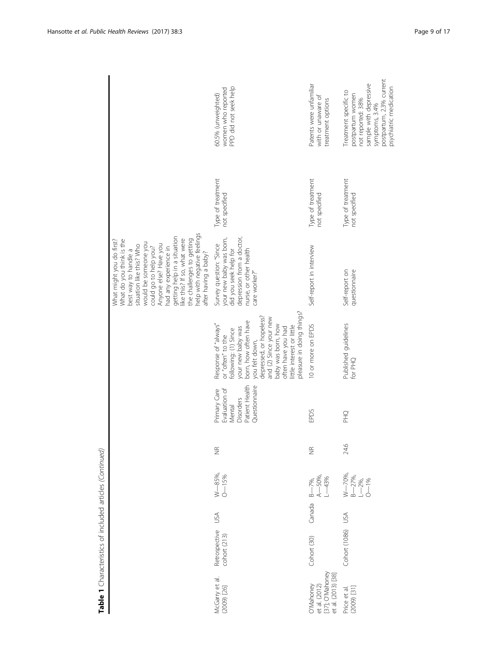|                                                                     |                               |        |                                       |                    |                                                                                         |                                                                                                                                                                                                                                                                                            | help with negative feelings<br>getting help in a situation<br>like this? If so, what were<br>the challenges to getting<br>What do you think is the<br>What might you do first?<br>would be someone you<br>situation like this? Who<br>Anyone else? Have you<br>could go to help you?<br>had any experience in<br>best way to handle a<br>after having a baby? |                                    |                                                                                                                                                                  |
|---------------------------------------------------------------------|-------------------------------|--------|---------------------------------------|--------------------|-----------------------------------------------------------------------------------------|--------------------------------------------------------------------------------------------------------------------------------------------------------------------------------------------------------------------------------------------------------------------------------------------|---------------------------------------------------------------------------------------------------------------------------------------------------------------------------------------------------------------------------------------------------------------------------------------------------------------------------------------------------------------|------------------------------------|------------------------------------------------------------------------------------------------------------------------------------------------------------------|
| McGarry et al.<br>(2009) [26]                                       | Retrospective<br>cohort (213) | JSA    | W-85%,<br>O-15%                       | $\frac{\alpha}{2}$ | Patient Health<br>Questionnaire<br>Primary Care<br>Evaluation of<br>Disorders<br>Mental | bleasure in doing things?<br>you felt down,<br>depressed, or hopeless?<br>and (2) Since your new<br>born, how often have<br>Response of "always"<br>or "often" to the<br>baby was born, how<br>ittle interest or little<br>following: (1) Since<br>your new baby was<br>often have you had | depression from a doctor,<br>your new baby was born,<br>Survey question: "Since<br>nurse, or other health<br>did you seek help for<br>care worker?"                                                                                                                                                                                                           | Type of treatment<br>not specified | PPD did not seek help<br>women who reported<br>60.5% (unweighted)                                                                                                |
| O'Mahoney<br>et al. (2012)<br>[37]; O'Mahoney<br>et al. (2013) [38] | Cohort (30)                   | Canada | $B - 7\%$ ,<br>A-50%,<br>L-43%        | $\frac{\alpha}{2}$ | EPDS                                                                                    | 10 or more on EPDS                                                                                                                                                                                                                                                                         | Self-report in interview                                                                                                                                                                                                                                                                                                                                      | Type of treatment<br>not specified | Patents were unfamiliar<br>with or unaware of<br>treatment options                                                                                               |
| Price et al.<br>(2009) [31]                                         | Cohort (1086) USA             |        | $W-70\%$ ,<br>B-27%,<br>L-2%,<br>O-1% | 24.6               | <b>PHQ</b>                                                                              | Published guidelines<br>for PHQ                                                                                                                                                                                                                                                            | Self-report on<br>questionnaire                                                                                                                                                                                                                                                                                                                               | Type of treatment<br>not specified | postpartum, 2.3% current<br>sample with depressive<br>psychiatric medication<br>Treatment specific to<br>postpartum women<br>not reported: 38%<br>symptoms, 3.4% |

Table 1 Characteristics of included articles (Continued) **Table 1** Characteristics of included articles (Continued)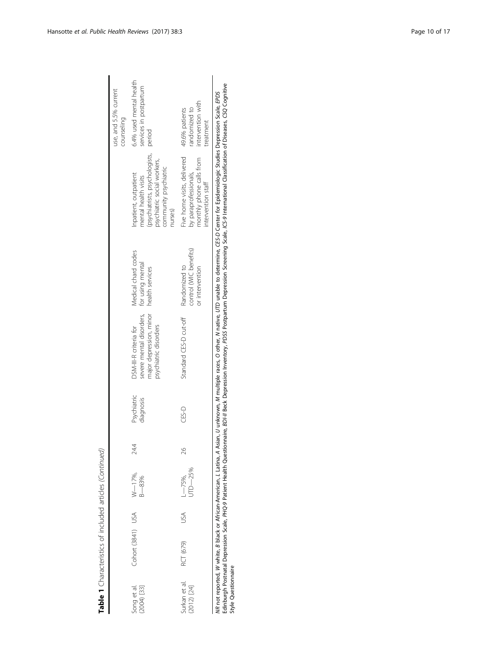| ٦<br>Š<br>j<br>$\ddot{\phantom{0}}$<br>I<br>Ş<br>١<br>֖֖֦֦֪֪֚֚֚֚֚֬֝֝<br>i<br>j<br>l<br>J<br>Ï<br>֖֖֖֖֖֪ׅ֖֧֧֪֪ׅ֧֚֚֚֚֚֚֚֚֚֚֚֚֚֚֚֚֚֚֚֚֚֚֚֬֝֝֝֝֓֝֓֞֡֓<br>¢<br>J<br>l<br>l<br><b>1</b><br>j<br>j |  |
|---------------------------------------------------------------------------------------------------------------------------------------------------------------------------------------------|--|
| امتنا عمامت تعدد<br>֖֖֖֖֖֚֚֚֚֚֚֚֚֚֬<br>ׇ֚֚֬<br>ĵ<br>j<br>į<br>;<br>);<br>¢<br>l<br>i<br>5<br>i<br>ن<br>تح<br>3<br>j<br>$\frac{1}{2}$ able<br>l                                              |  |

|                              |                   |     |                          |               |                          |                                                                                                        |                                                            |                                                                                                                                                  | counseling                                                       |
|------------------------------|-------------------|-----|--------------------------|---------------|--------------------------|--------------------------------------------------------------------------------------------------------|------------------------------------------------------------|--------------------------------------------------------------------------------------------------------------------------------------------------|------------------------------------------------------------------|
| Song et al.<br>(2004) [33]   | Cohort (3841) USA |     | $W - 17%$ ,<br>$B - 83%$ | 24.4          | Psychiatric<br>diagnosis | severe mental disorders,<br>major depression, minor<br>osychiatric disorders<br>DSM-III-R criteria for | Medical chard codes<br>for using mental<br>health services | psychiatrists, psychologists,<br>osychiatric social workers,<br>community psychiatric<br>npatient, outpatient<br>nental health visits<br>nurses) | 5.4% used mental health<br>services in postpartum<br>period      |
| Surkan et al.<br>(2012) [24] | RCT (679)         | USA | L-75%,<br>UTD-25%        | $\frac{8}{2}$ | CES-D                    | Standard CES-D cut-off                                                                                 | control (WIC benefits)<br>Randomized to<br>or intervention | ive home visits, delivered<br>monthly phone calls from<br>by paraprofessionals,<br>ntervention staff                                             | intervention with<br>andomized to<br>49.6% patients<br>treatment |
|                              |                   |     |                          |               |                          |                                                                                                        |                                                            |                                                                                                                                                  |                                                                  |

MR not reported, W white, 8 black or African-American, L Latina, A Asian, U unknown, M multiple races, O other, N rative, UTD unable to determine, CES-D Center for Epidemiologic Studies Depression Scale, EPDS<br>Edinburgh Pos Edinburgh Postnatal Depression Scale, PHQ-9 Patient Health Questionnaire, BDI-II Beck Depression Inventory, PDSS Postpartum Depression Screening Scale, ICS-9 International Classification of Diseases, CSQ Cognitive NR not reported, W white, B black or African-American, L Latina, A Asian, U unknown, M multiple races, O other, N native, UTD unable to determine, CES-D Center for Epidemiologic Studies Depression Scale, EPDS Style Questionnaire

use, and 5.5% current

use, and 5.5% current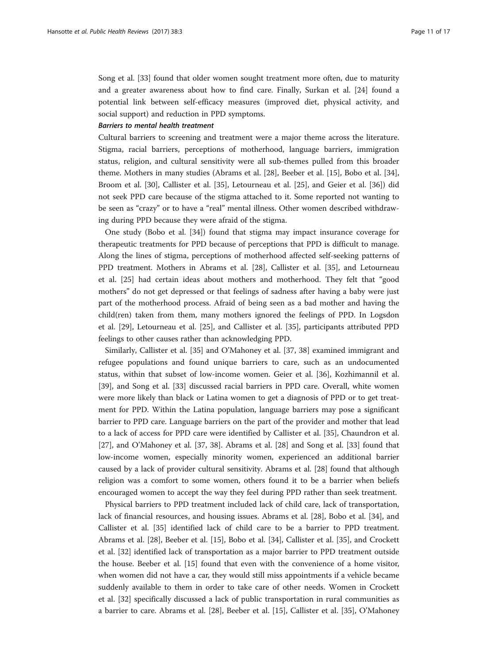Song et al. [[33](#page-15-0)] found that older women sought treatment more often, due to maturity and a greater awareness about how to find care. Finally, Surkan et al. [\[24](#page-15-0)] found a potential link between self-efficacy measures (improved diet, physical activity, and social support) and reduction in PPD symptoms.

## Barriers to mental health treatment

Cultural barriers to screening and treatment were a major theme across the literature. Stigma, racial barriers, perceptions of motherhood, language barriers, immigration status, religion, and cultural sensitivity were all sub-themes pulled from this broader theme. Mothers in many studies (Abrams et al. [[28](#page-15-0)], Beeber et al. [[15\]](#page-15-0), Bobo et al. [[34](#page-16-0)], Broom et al. [\[30\]](#page-15-0), Callister et al. [[35\]](#page-16-0), Letourneau et al. [[25\]](#page-15-0), and Geier et al. [[36\]](#page-16-0)) did not seek PPD care because of the stigma attached to it. Some reported not wanting to be seen as "crazy" or to have a "real" mental illness. Other women described withdrawing during PPD because they were afraid of the stigma.

One study (Bobo et al. [[34\]](#page-16-0)) found that stigma may impact insurance coverage for therapeutic treatments for PPD because of perceptions that PPD is difficult to manage. Along the lines of stigma, perceptions of motherhood affected self-seeking patterns of PPD treatment. Mothers in Abrams et al. [[28](#page-15-0)], Callister et al. [[35](#page-16-0)], and Letourneau et al. [[25](#page-15-0)] had certain ideas about mothers and motherhood. They felt that "good mothers" do not get depressed or that feelings of sadness after having a baby were just part of the motherhood process. Afraid of being seen as a bad mother and having the child(ren) taken from them, many mothers ignored the feelings of PPD. In Logsdon et al. [\[29\]](#page-15-0), Letourneau et al. [[25\]](#page-15-0), and Callister et al. [[35](#page-16-0)], participants attributed PPD feelings to other causes rather than acknowledging PPD.

Similarly, Callister et al. [\[35](#page-16-0)] and O'Mahoney et al. [\[37](#page-16-0), [38](#page-16-0)] examined immigrant and refugee populations and found unique barriers to care, such as an undocumented status, within that subset of low-income women. Geier et al. [\[36](#page-16-0)], Kozhimannil et al. [[39\]](#page-16-0), and Song et al. [[33\]](#page-15-0) discussed racial barriers in PPD care. Overall, white women were more likely than black or Latina women to get a diagnosis of PPD or to get treatment for PPD. Within the Latina population, language barriers may pose a significant barrier to PPD care. Language barriers on the part of the provider and mother that lead to a lack of access for PPD care were identified by Callister et al. [\[35\]](#page-16-0), Chaundron et al. [[27\]](#page-15-0), and O'Mahoney et al. [[37, 38](#page-16-0)]. Abrams et al. [\[28](#page-15-0)] and Song et al. [[33\]](#page-15-0) found that low-income women, especially minority women, experienced an additional barrier caused by a lack of provider cultural sensitivity. Abrams et al. [\[28\]](#page-15-0) found that although religion was a comfort to some women, others found it to be a barrier when beliefs encouraged women to accept the way they feel during PPD rather than seek treatment.

Physical barriers to PPD treatment included lack of child care, lack of transportation, lack of financial resources, and housing issues. Abrams et al. [[28\]](#page-15-0), Bobo et al. [\[34\]](#page-16-0), and Callister et al. [\[35](#page-16-0)] identified lack of child care to be a barrier to PPD treatment. Abrams et al. [\[28](#page-15-0)], Beeber et al. [[15\]](#page-15-0), Bobo et al. [[34\]](#page-16-0), Callister et al. [[35](#page-16-0)], and Crockett et al. [\[32\]](#page-15-0) identified lack of transportation as a major barrier to PPD treatment outside the house. Beeber et al. [[15](#page-15-0)] found that even with the convenience of a home visitor, when women did not have a car, they would still miss appointments if a vehicle became suddenly available to them in order to take care of other needs. Women in Crockett et al. [\[32\]](#page-15-0) specifically discussed a lack of public transportation in rural communities as a barrier to care. Abrams et al. [[28](#page-15-0)], Beeber et al. [[15\]](#page-15-0), Callister et al. [\[35](#page-16-0)], O'Mahoney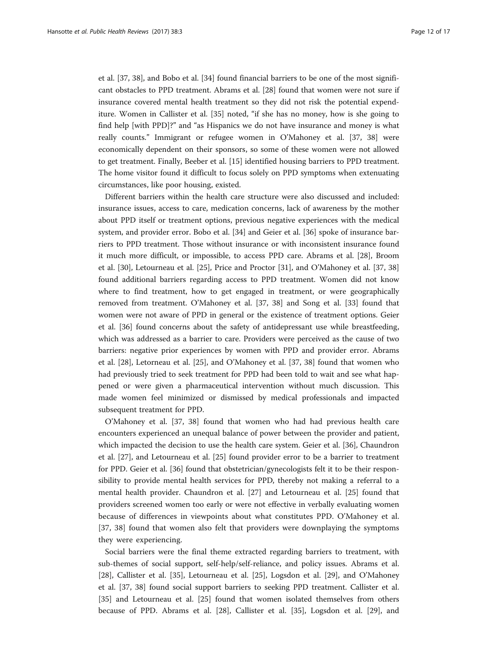et al. [\[37](#page-16-0), [38](#page-16-0)], and Bobo et al. [[34\]](#page-16-0) found financial barriers to be one of the most significant obstacles to PPD treatment. Abrams et al. [\[28\]](#page-15-0) found that women were not sure if insurance covered mental health treatment so they did not risk the potential expenditure. Women in Callister et al. [\[35](#page-16-0)] noted, "if she has no money, how is she going to find help [with PPD]?" and "as Hispanics we do not have insurance and money is what really counts." Immigrant or refugee women in O'Mahoney et al. [\[37, 38](#page-16-0)] were economically dependent on their sponsors, so some of these women were not allowed to get treatment. Finally, Beeber et al. [\[15\]](#page-15-0) identified housing barriers to PPD treatment. The home visitor found it difficult to focus solely on PPD symptoms when extenuating circumstances, like poor housing, existed.

Different barriers within the health care structure were also discussed and included: insurance issues, access to care, medication concerns, lack of awareness by the mother about PPD itself or treatment options, previous negative experiences with the medical system, and provider error. Bobo et al. [[34\]](#page-16-0) and Geier et al. [[36](#page-16-0)] spoke of insurance barriers to PPD treatment. Those without insurance or with inconsistent insurance found it much more difficult, or impossible, to access PPD care. Abrams et al. [[28](#page-15-0)], Broom et al. [[30\]](#page-15-0), Letourneau et al. [\[25](#page-15-0)], Price and Proctor [[31\]](#page-15-0), and O'Mahoney et al. [\[37](#page-16-0), [38](#page-16-0)] found additional barriers regarding access to PPD treatment. Women did not know where to find treatment, how to get engaged in treatment, or were geographically removed from treatment. O'Mahoney et al. [\[37](#page-16-0), [38](#page-16-0)] and Song et al. [[33\]](#page-15-0) found that women were not aware of PPD in general or the existence of treatment options. Geier et al. [[36](#page-16-0)] found concerns about the safety of antidepressant use while breastfeeding, which was addressed as a barrier to care. Providers were perceived as the cause of two barriers: negative prior experiences by women with PPD and provider error. Abrams et al. [\[28](#page-15-0)], Letorneau et al. [\[25\]](#page-15-0), and O'Mahoney et al. [[37](#page-16-0), [38\]](#page-16-0) found that women who had previously tried to seek treatment for PPD had been told to wait and see what happened or were given a pharmaceutical intervention without much discussion. This made women feel minimized or dismissed by medical professionals and impacted subsequent treatment for PPD.

O'Mahoney et al. [\[37](#page-16-0), [38](#page-16-0)] found that women who had had previous health care encounters experienced an unequal balance of power between the provider and patient, which impacted the decision to use the health care system. Geier et al. [[36\]](#page-16-0), Chaundron et al. [\[27\]](#page-15-0), and Letourneau et al. [[25](#page-15-0)] found provider error to be a barrier to treatment for PPD. Geier et al. [\[36](#page-16-0)] found that obstetrician/gynecologists felt it to be their responsibility to provide mental health services for PPD, thereby not making a referral to a mental health provider. Chaundron et al. [[27\]](#page-15-0) and Letourneau et al. [\[25\]](#page-15-0) found that providers screened women too early or were not effective in verbally evaluating women because of differences in viewpoints about what constitutes PPD. O'Mahoney et al. [[37, 38](#page-16-0)] found that women also felt that providers were downplaying the symptoms they were experiencing.

Social barriers were the final theme extracted regarding barriers to treatment, with sub-themes of social support, self-help/self-reliance, and policy issues. Abrams et al. [[28\]](#page-15-0), Callister et al. [\[35](#page-16-0)], Letourneau et al. [[25\]](#page-15-0), Logsdon et al. [\[29](#page-15-0)], and O'Mahoney et al. [[37](#page-16-0), [38](#page-16-0)] found social support barriers to seeking PPD treatment. Callister et al. [[35\]](#page-16-0) and Letourneau et al. [[25\]](#page-15-0) found that women isolated themselves from others because of PPD. Abrams et al. [\[28](#page-15-0)], Callister et al. [\[35](#page-16-0)], Logsdon et al. [\[29\]](#page-15-0), and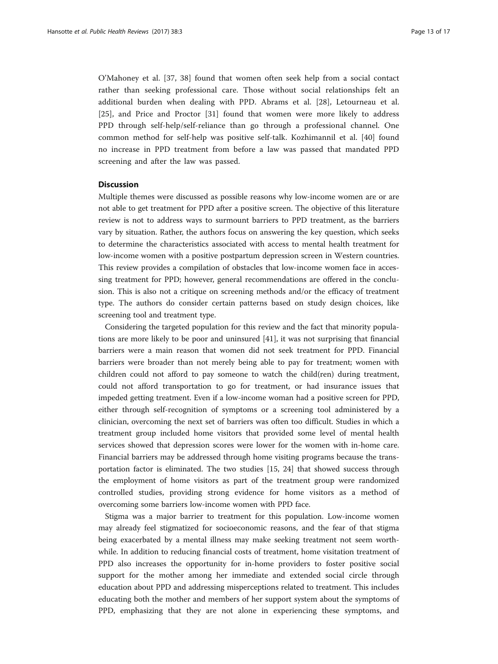O'Mahoney et al. [\[37](#page-16-0), [38\]](#page-16-0) found that women often seek help from a social contact rather than seeking professional care. Those without social relationships felt an additional burden when dealing with PPD. Abrams et al. [\[28](#page-15-0)], Letourneau et al. [[25\]](#page-15-0), and Price and Proctor [[31\]](#page-15-0) found that women were more likely to address PPD through self-help/self-reliance than go through a professional channel. One common method for self-help was positive self-talk. Kozhimannil et al. [[40\]](#page-16-0) found no increase in PPD treatment from before a law was passed that mandated PPD screening and after the law was passed.

## Discussion

Multiple themes were discussed as possible reasons why low-income women are or are not able to get treatment for PPD after a positive screen. The objective of this literature review is not to address ways to surmount barriers to PPD treatment, as the barriers vary by situation. Rather, the authors focus on answering the key question, which seeks to determine the characteristics associated with access to mental health treatment for low-income women with a positive postpartum depression screen in Western countries. This review provides a compilation of obstacles that low-income women face in accessing treatment for PPD; however, general recommendations are offered in the conclusion. This is also not a critique on screening methods and/or the efficacy of treatment type. The authors do consider certain patterns based on study design choices, like screening tool and treatment type.

Considering the targeted population for this review and the fact that minority populations are more likely to be poor and uninsured [[41](#page-16-0)], it was not surprising that financial barriers were a main reason that women did not seek treatment for PPD. Financial barriers were broader than not merely being able to pay for treatment; women with children could not afford to pay someone to watch the child(ren) during treatment, could not afford transportation to go for treatment, or had insurance issues that impeded getting treatment. Even if a low-income woman had a positive screen for PPD, either through self-recognition of symptoms or a screening tool administered by a clinician, overcoming the next set of barriers was often too difficult. Studies in which a treatment group included home visitors that provided some level of mental health services showed that depression scores were lower for the women with in-home care. Financial barriers may be addressed through home visiting programs because the transportation factor is eliminated. The two studies [\[15](#page-15-0), [24](#page-15-0)] that showed success through the employment of home visitors as part of the treatment group were randomized controlled studies, providing strong evidence for home visitors as a method of overcoming some barriers low-income women with PPD face.

Stigma was a major barrier to treatment for this population. Low-income women may already feel stigmatized for socioeconomic reasons, and the fear of that stigma being exacerbated by a mental illness may make seeking treatment not seem worthwhile. In addition to reducing financial costs of treatment, home visitation treatment of PPD also increases the opportunity for in-home providers to foster positive social support for the mother among her immediate and extended social circle through education about PPD and addressing misperceptions related to treatment. This includes educating both the mother and members of her support system about the symptoms of PPD, emphasizing that they are not alone in experiencing these symptoms, and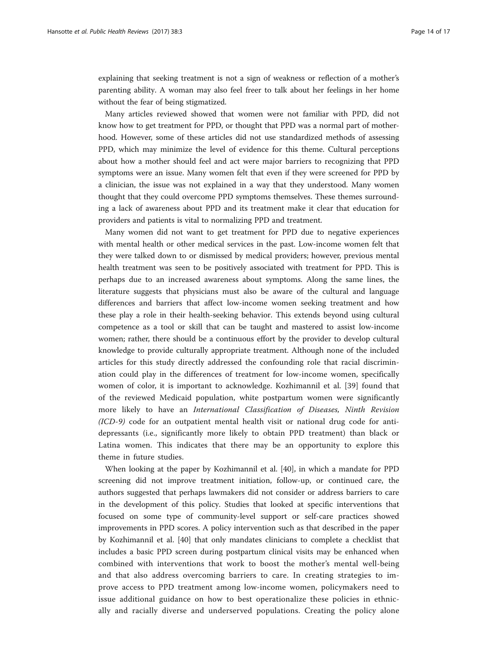explaining that seeking treatment is not a sign of weakness or reflection of a mother's parenting ability. A woman may also feel freer to talk about her feelings in her home without the fear of being stigmatized.

Many articles reviewed showed that women were not familiar with PPD, did not know how to get treatment for PPD, or thought that PPD was a normal part of motherhood. However, some of these articles did not use standardized methods of assessing PPD, which may minimize the level of evidence for this theme. Cultural perceptions about how a mother should feel and act were major barriers to recognizing that PPD symptoms were an issue. Many women felt that even if they were screened for PPD by a clinician, the issue was not explained in a way that they understood. Many women thought that they could overcome PPD symptoms themselves. These themes surrounding a lack of awareness about PPD and its treatment make it clear that education for providers and patients is vital to normalizing PPD and treatment.

Many women did not want to get treatment for PPD due to negative experiences with mental health or other medical services in the past. Low-income women felt that they were talked down to or dismissed by medical providers; however, previous mental health treatment was seen to be positively associated with treatment for PPD. This is perhaps due to an increased awareness about symptoms. Along the same lines, the literature suggests that physicians must also be aware of the cultural and language differences and barriers that affect low-income women seeking treatment and how these play a role in their health-seeking behavior. This extends beyond using cultural competence as a tool or skill that can be taught and mastered to assist low-income women; rather, there should be a continuous effort by the provider to develop cultural knowledge to provide culturally appropriate treatment. Although none of the included articles for this study directly addressed the confounding role that racial discrimination could play in the differences of treatment for low-income women, specifically women of color, it is important to acknowledge. Kozhimannil et al. [[39\]](#page-16-0) found that of the reviewed Medicaid population, white postpartum women were significantly more likely to have an International Classification of Diseases, Ninth Revision (ICD-9) code for an outpatient mental health visit or national drug code for antidepressants (i.e., significantly more likely to obtain PPD treatment) than black or Latina women. This indicates that there may be an opportunity to explore this theme in future studies.

When looking at the paper by Kozhimannil et al. [[40\]](#page-16-0), in which a mandate for PPD screening did not improve treatment initiation, follow-up, or continued care, the authors suggested that perhaps lawmakers did not consider or address barriers to care in the development of this policy. Studies that looked at specific interventions that focused on some type of community-level support or self-care practices showed improvements in PPD scores. A policy intervention such as that described in the paper by Kozhimannil et al. [[40](#page-16-0)] that only mandates clinicians to complete a checklist that includes a basic PPD screen during postpartum clinical visits may be enhanced when combined with interventions that work to boost the mother's mental well-being and that also address overcoming barriers to care. In creating strategies to improve access to PPD treatment among low-income women, policymakers need to issue additional guidance on how to best operationalize these policies in ethnically and racially diverse and underserved populations. Creating the policy alone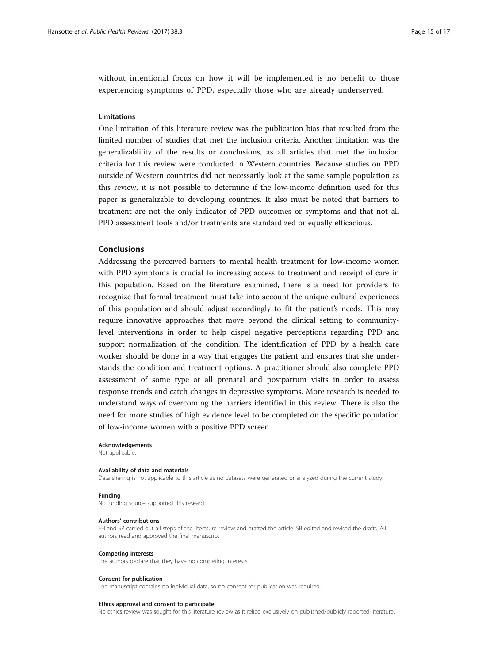without intentional focus on how it will be implemented is no benefit to those experiencing symptoms of PPD, especially those who are already underserved.

## Limitations

One limitation of this literature review was the publication bias that resulted from the limited number of studies that met the inclusion criteria. Another limitation was the generalizablility of the results or conclusions, as all articles that met the inclusion criteria for this review were conducted in Western countries. Because studies on PPD outside of Western countries did not necessarily look at the same sample population as this review, it is not possible to determine if the low-income definition used for this paper is generalizable to developing countries. It also must be noted that barriers to treatment are not the only indicator of PPD outcomes or symptoms and that not all PPD assessment tools and/or treatments are standardized or equally efficacious.

## Conclusions

Addressing the perceived barriers to mental health treatment for low-income women with PPD symptoms is crucial to increasing access to treatment and receipt of care in this population. Based on the literature examined, there is a need for providers to recognize that formal treatment must take into account the unique cultural experiences of this population and should adjust accordingly to fit the patient's needs. This may require innovative approaches that move beyond the clinical setting to communitylevel interventions in order to help dispel negative perceptions regarding PPD and support normalization of the condition. The identification of PPD by a health care worker should be done in a way that engages the patient and ensures that she understands the condition and treatment options. A practitioner should also complete PPD assessment of some type at all prenatal and postpartum visits in order to assess response trends and catch changes in depressive symptoms. More research is needed to understand ways of overcoming the barriers identified in this review. There is also the need for more studies of high evidence level to be completed on the specific population of low-income women with a positive PPD screen.

#### Acknowledgements

Not applicable.

#### Availability of data and materials

Data sharing is not applicable to this article as no datasets were generated or analyzed during the current study.

#### Funding

No funding source supported this research.

#### Authors' contributions

EH and SP carried out all steps of the literature review and drafted the article. SB edited and revised the drafts. All authors read and approved the final manuscript.

#### Competing interests

The authors declare that they have no competing interests.

#### Consent for publication

The manuscript contains no individual data, so no consent for publication was required.

#### Ethics approval and consent to participate

No ethics review was sought for this literature review as it relied exclusively on published/publicly reported literature.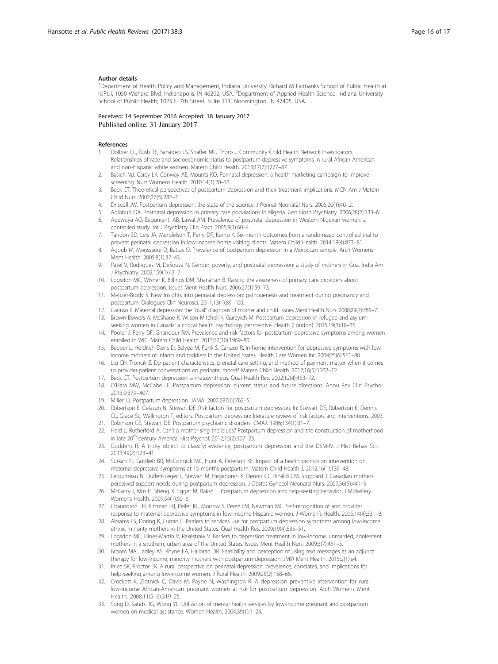#### <span id="page-15-0"></span>Author details

1 Department of Health Policy and Management, Indiana University Richard M Fairbanks School of Public Health at IUPUI, 1050 Wishard Blvd, Indianapolis, IN 46202, USA. <sup>2</sup>Department of Applied Health Science, Indiana University School of Public Health, 1025 E. 7th Street, Suite 111, Bloomington, IN 47405, USA.

Received: 14 September 2016 Accepted: 18 January 2017 Published online: 31 January 2017

#### References

- 1. Dolbier CL, Rush TE, Sahadeo LS, Shaffer ML, Thorp J, Community Child Health Network Investigators. Relationships of race and socioeconomic status to postpartum depressive symptoms in rural African American and non-Hispanic white women. Matern Child Health. 2013;17(7):1277–87.
- Basich MJ, Carey LK, Conway AE, Mounts KO. Perinatal depression: a health marketing campaign to improve screening. Nurs Womens Health. 2010;14(1):20–33.
- 3. Beck CT. Theoretical perspectives of postpartum depression and their treatment implications. MCN Am J Matern Child Nurs. 2002;27(5):282–7.
- 4. Driscoll JW. Postpartum depression: the state of the science. J Perinat Neonatal Nurs. 2006;20(1):40–2.
- 5. Adiobun OA. Postnatal depression in primary care populations in Nigeria. Gen Hosp Psychiatry. 2006;28(2):133–6.
- 6. Adewuya AO, Eegunranti AB, Lawal AM. Prevalence of postnatal depression in Western Nigerian women: a controlled study. Int J Psychiatry Clin Pract. 2005;9(1):60–4.
- 7. Tandon SD, Leis JA, Mendelson T, Perry DF, Kemp K. Six-month outcomes from a randomized controlled trial to prevent perinatal depression in low-income home visiting clients. Matern Child Health. 2014;18(4):873–81.
- 8. Agoub M, Moussaoui D, Battas O. Prevalence of postpartum depression in a Moroccan sample. Arch Womens Ment Health. 2005;8(1):37–43.
- 9. Patel V, Rodrigues M, DeSouza N. Gender, poverty, and postnatal depression: a study of mothers in Goa. India Am J Psychiatry. 2002;159(1):43–7.
- 10. Logsdon MC, Wisner K, Billings DM, Shanahan B. Raising the awareness of primary care providers about postpartum depression. Issues Ment Health Nurs. 2006;27(1):59–73.
- 11. Meltzer-Brody S. New insights into perinatal depression: pathogenesis and treatment during pregnancy and postpartum. Dialogues Clin Neurosci. 2011;13(1):89–100.
- 12. Canuso R. Maternal depression: the "dual" diagnosis of mother and child. Issues Ment Health Nurs. 2008;29(7):785–7.
- 13. Brown-Bowers A, McShane K, Wilson-Mitchell K, Gureyich M. Postpartum depression in refugee and asylumseeking women in Canada: a critical health psychology perspective. Health (London). 2015;19(3):18–35.
- 14. Pooler J, Perry DF, Ghandour RM. Prevalence and risk factors for postpartum depressive symptoms among women enrolled in WIC. Matern Child Health. 2013;17(10):1969–80.
- 15. Beeber L, Holditch-Davis D, Belyea M, Funk S, Canuso R. In-home intervention for depressive symptoms with lowincome mothers of infants and toddlers in the United States. Health Care Women Int. 2004;25(6):561–80.
- 16. Liu CH, Troncik E. Do patient characteristics, prenatal care setting, and method of payment matter when it comes to provider-patient conversations on perinatal mood? Matern Child Health. 2012;16(5):1102–12.
- 17. Beck CT. Postpartum depression: a metasynthesis. Qual Health Res. 2002;12(4):453–72.
- 18. O'Hara MW, McCabe JE. Postpartum depression: current status and future directions. Annu Rev Clin Psychol. 2013;9:379–407.
- 19. Miller LJ. Postpartum depression. JAMA. 2002;287(6):762–5.
- 20. Robertson E, Celasun N, Stewart DE. Risk factors for postpartum depression. In: Stewart DE, Robertson E, Dennis
- CL, Grace SL, Wallington T, editors. Postpartum depression: literature review of risk factors and interventions. 2003. 21. Robinson GE, Stewart DE. Postpartum psychiatric disorders. CMAJ. 1986;134(1):31–7.
- 22. Held L, Rutherford A. Can't a mother sing the blues? Postpartum depression and the construction of motherhood in late 20<sup>th</sup>-century America. Hist Psychol. 2012;15(2):107-23.
- 23. Godderis R. A tricky object to classify: evidence, postpartum depression and the DSM-IV. J Hist Behav Sci. 2013;49(2):123–41.
- 24. Surkan PJ, Gottlieb BR, McCormick MC, Hunt A, Peterson KE. Impact of a health promotion intervention on maternal depressive symptoms at 15 months postpartum. Matern Child Health J. 2012;16(1):139–48.
- 25. Letourneau N, Duffett-Leger L, Stewart M, Hegadoren K, Dennis CL, Rinaldi CM, Stoppard J. Canadian mothers' perceived support needs during postpartum depression. J Obstet Gynecol Neonatal Nurs. 2007;36(5):441–9.
- 26. McGarry J, Kim H, Sheng X, Egger M, Baksh L. Postpartum depression and help-seeking behavior. J Midwifery Womens Health. 2009;54(1):50–6.
- 27. Chaundron LH, Kitzman HJ, Peifer KL, Morrow S, Perez LM, Newman MC. Self-recognition of and provider response to maternal depressive symptoms in low-income Hispanic women. J Women's Health. 2005;14(4):331–8.
- 28. Abrams LS, Doring K, Curran L. Barriers to services use for postpartum depression symptoms among low-income ethnic minority mothers in the United States. Qual Health Res. 2009;19(4):535–51.
- 29. Logsdon MC, Hines-Martin V, Rakestraw V. Barriers to depression treatment in low-income, unmarried, adolescent mothers in a southern, urban area of the United States. Issues Ment Health Nurs. 2009;3(7):451–5.
- 30. Broom MA, Ladley AS, Rhyne EA, Halloran DR. Feasibility and perception of using text messages as an adjunct therapy for low-income, minority mothers with postpartum depression. JMIR Ment Health. 2015;2(1):e4.
- 31. Price SK, Proctor EK. A rural perspective on perinatal depression: prevalence, correlates, and implications for help-seeking among low-income women. J Rural Health. 2009;25(2):158–66.
- 32. Crockett K, Zlotnick C, Davis M, Payne N, Washington R. A depression preventive intervention for rural low-income African-American pregnant women at risk for postpartum depression. Arch Womens Ment Health. 2008;11(5–6):319–25.
- 33. Song D, Sands RG, Wong YL. Utilization of mental health services by low-income pregnant and postpartum women on medical assistance. Women Health. 2004;39(1):1–24.